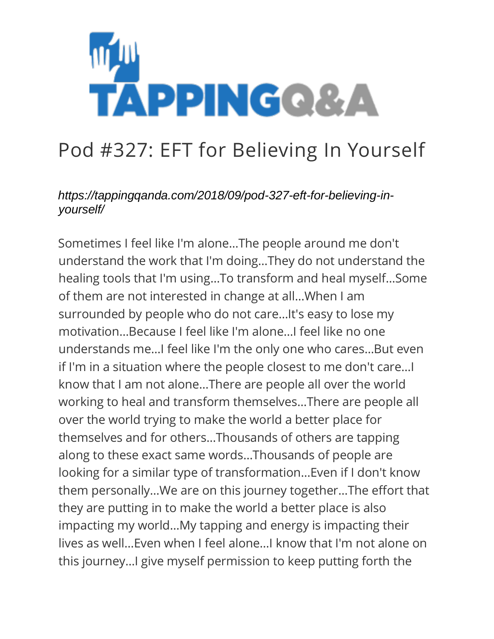

## Pod #327: EFT for Believing In Yourself

## *https://tappingqanda.com/2018/09/pod-327-eft-for-believing-inyourself/*

Sometimes I feel like I'm alone…The people around me don't understand the work that I'm doing…They do not understand the healing tools that I'm using…To transform and heal myself…Some of them are not interested in change at all…When I am surrounded by people who do not care…It's easy to lose my motivation…Because I feel like I'm alone…I feel like no one understands me…I feel like I'm the only one who cares…But even if I'm in a situation where the people closest to me don't care…I know that I am not alone…There are people all over the world working to heal and transform themselves…There are people all over the world trying to make the world a better place for themselves and for others…Thousands of others are tapping along to these exact same words…Thousands of people are looking for a similar type of transformation…Even if I don't know them personally…We are on this journey together…The effort that they are putting in to make the world a better place is also impacting my world…My tapping and energy is impacting their lives as well…Even when I feel alone…I know that I'm not alone on this journey…I give myself permission to keep putting forth the